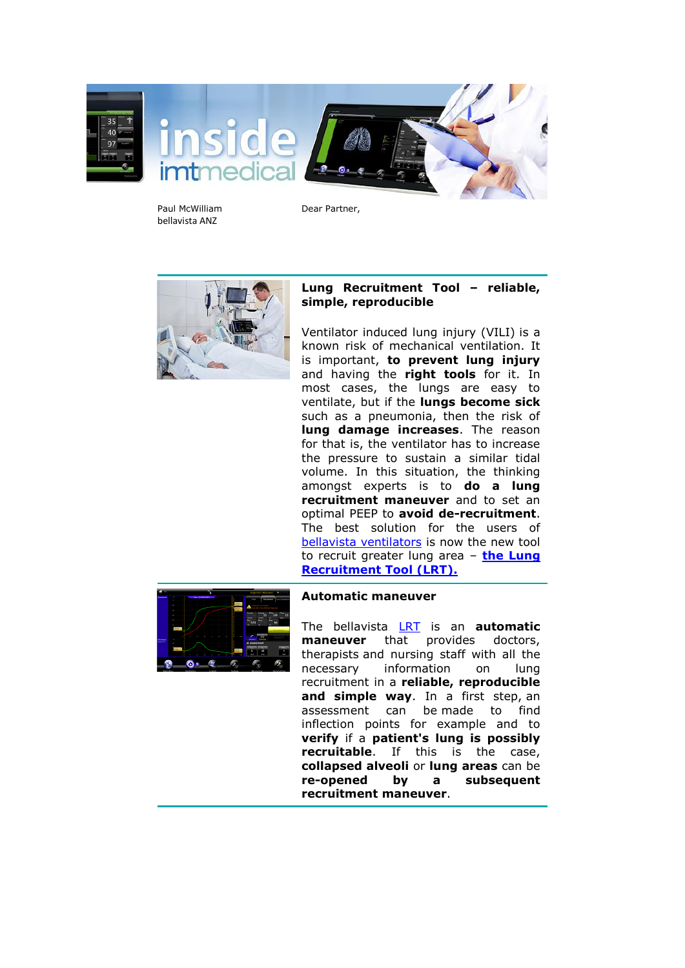

Paul McWilliam bellavista ANZ

Dear Partner,



## **Lung Recruitment Tool – reliable, simple, reproducible**

Ventilator induced lung injury (VILI) is a known risk of mechanical ventilation. It is important, **to prevent lung injury** and having the **right tools** for it. In most cases, the lungs are easy to ventilate, but if the **lungs become sick** such as a pneumonia, then the risk of **lung damage increases**. The reason for that is, the ventilator has to increase the pressure to sustain a similar tidal volume. In this situation, the thinking amongst experts is to **do a lung recruitment maneuver** and to set an optimal PEEP to **avoid de-recruitment**. The best solution for the users of [bellavista ventilators](https://imtmedical.com/Bellavista) is now the new tool to recruit greater lung area – **[the Lung](https://imtmedical.com/Resources/Images/Upload/ExtranetTemp/bellavista_LRT_EN_imtmedical.pdf)  [Recruitment Tool \(LRT\).](https://imtmedical.com/Resources/Images/Upload/ExtranetTemp/bellavista_LRT_EN_imtmedical.pdf)**



## **Automatic maneuver**

The bellavista [LRT](https://imtmedical.com/Resources/Images/Upload/ExtranetTemp/bellavista_LRT_EN_imtmedical.pdf) is an **automatic maneuver** that provides doctors, therapists and nursing staff with all the necessary information on lung recruitment in a **reliable, reproducible and simple way**. In a first step, an assessment can be made to find inflection points for example and to **verify** if a **patient's lung is possibly recruitable**. If this is the case, **collapsed alveoli** or **lung areas** can be **re-opened by a subsequent recruitment maneuver**.